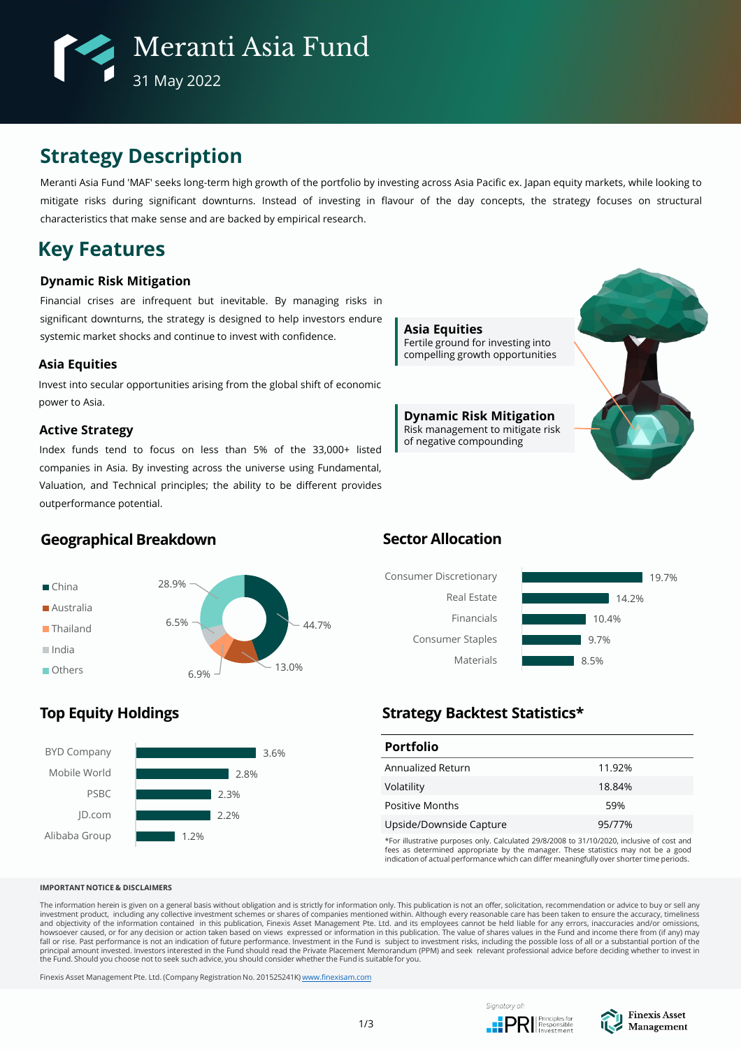

# **Strategy Description**

Meranti Asia Fund 'MAF' seeks long-term high growth of the portfolio by investing across Asia Pacific ex. Japan equity markets, while looking to mitigate risks during significant downturns. Instead of investing in flavour of the day concepts, the strategy focuses on structural characteristics that make sense and are backed by empirical research.

# **Key Features**

## **Dynamic Risk Mitigation**

Financial crises are infrequent but inevitable. By managing risks in significant downturns, the strategy is designed to help investors endure systemic market shocks and continue to invest with confidence.

## **Asia Equities**

Invest into secular opportunities arising from the global shift of economic power to Asia.

## **Active Strategy**

Index funds tend to focus on less than 5% of the 33,000+ listed companies in Asia. By investing across the universe using Fundamental, Valuation, and Technical principles; the ability to be different provides outperformance potential.



**Dynamic Risk Mitigation** Risk management to mitigate risk of negative compounding



# **Geographical Breakdown**



# **Sector Allocation**



# **Top Equity Holdings**



# **Strategy Backtest Statistics\***

| <b>Portfolio</b>        |        |
|-------------------------|--------|
| Annualized Return       | 11.92% |
| Volatility              | 18.84% |
| Positive Months         | 59%    |
| Upside/Downside Capture | 95/77% |

\*For illustrative purposes only. Calculated 29/8/2008 to 31/10/2020, inclusive of cost and fees as determined appropriate by the manager. These statistics may not be a good indication of actual performance which can differ meaningfully over shorter time periods.

#### **IMPORTANT NOTICE & DISCLAIMERS**

The information herein is given on a general basis without obligation and is strictly for information only. This publication is not an offer, solicitation, recommendation or advice to buy or sell any investment product, including any collective investment schemes or shares of companies mentioned within. Although every reasonable care has been taken to ensure the accuracy, timeliness<br>and objectivity of the information c principal amount invested. Investors interested in the Fund should read the Private Placement Memorandum (PPM) and seek relevant professional advice before deciding whether to invest in<br>the Fund. Should you choose not to

Finexis Asset Management Pte. Ltd. (Company Registration No. 201525241K) [www.finexisam.com](http://www.finexisam.com/)



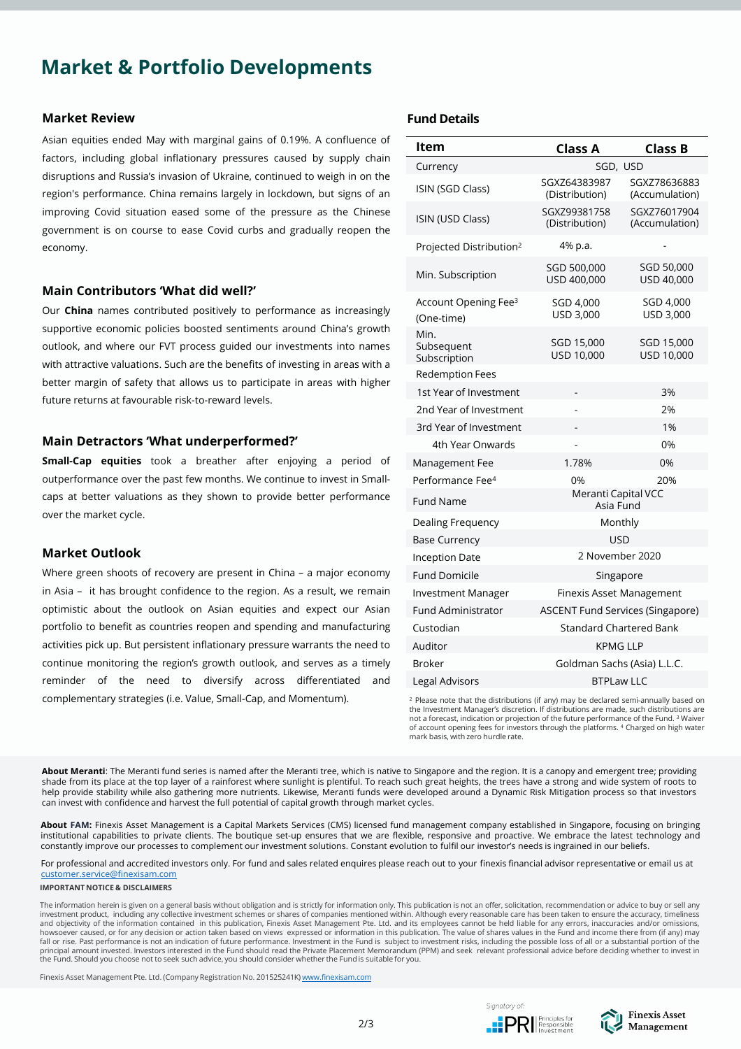# **Market & Portfolio Developments**

### **Market Review**

Asian equities ended May with marginal gains of 0.19%. A confluence of factors, including global inflationary pressures caused by supply chain disruptions and Russia's invasion of Ukraine, continued to weigh in on the region's performance. China remains largely in lockdown, but signs of an improving Covid situation eased some of the pressure as the Chinese government is on course to ease Covid curbs and gradually reopen the economy.

### **Main Contributors 'What did well?'**

Our **China** names contributed positively to performance as increasingly supportive economic policies boosted sentiments around China's growth outlook, and where our FVT process guided our investments into names with attractive valuations. Such are the benefits of investing in areas with a better margin of safety that allows us to participate in areas with higher future returns at favourable risk-to-reward levels.

### **Main Detractors 'What underperformed?'**

**Small-Cap equities** took a breather after enjoying a period of outperformance over the past few months. We continue to invest in Smallcaps at better valuations as they shown to provide better performance over the market cycle.

### **Market Outlook**

Where green shoots of recovery are present in China – a major economy in Asia – it has brought confidence to the region. As a result, we remain optimistic about the outlook on Asian equities and expect our Asian portfolio to benefit as countries reopen and spending and manufacturing activities pick up. But persistent inflationary pressure warrants the need to continue monitoring the region's growth outlook, and serves as a timely reminder of the need to diversify across differentiated and complementary strategies (i.e. Value, Small-Cap, and Momentum).

## **Fund Details**

| ltem                                           | <b>Class A</b>                          | <b>Class B</b>                 |  |  |  |  |  |
|------------------------------------------------|-----------------------------------------|--------------------------------|--|--|--|--|--|
| Currency                                       | SGD, USD                                |                                |  |  |  |  |  |
| ISIN (SGD Class)                               | SGXZ64383987<br>(Distribution)          | SGXZ78636883<br>(Accumulation) |  |  |  |  |  |
| ISIN (USD Class)                               | SGXZ99381758<br>(Distribution)          | SGXZ76017904<br>(Accumulation) |  |  |  |  |  |
| Projected Distribution <sup>2</sup>            | 4% p.a.                                 |                                |  |  |  |  |  |
| Min. Subscription                              | SGD 500,000<br>USD 400,000              | SGD 50,000<br>USD 40,000       |  |  |  |  |  |
| Account Opening Fee <sup>3</sup><br>(One-time) | SGD 4,000<br>USD 3,000                  | SGD 4,000<br>USD 3,000         |  |  |  |  |  |
| Min.<br>Subsequent<br>Subscription             | SGD 15,000<br>USD 10,000                | SGD 15,000<br>USD 10,000       |  |  |  |  |  |
| <b>Redemption Fees</b>                         |                                         |                                |  |  |  |  |  |
| 1st Year of Investment                         |                                         | 3%                             |  |  |  |  |  |
| 2nd Year of Investment                         |                                         | 2%                             |  |  |  |  |  |
| 3rd Year of Investment                         |                                         | 1%                             |  |  |  |  |  |
| 4th Year Onwards                               |                                         | 0%                             |  |  |  |  |  |
| Management Fee                                 | 1.78%                                   | 0%                             |  |  |  |  |  |
| Performance Fee <sup>4</sup>                   | 0%                                      | 20%                            |  |  |  |  |  |
| <b>Fund Name</b>                               | Meranti Capital VCC<br>Asia Fund        |                                |  |  |  |  |  |
| Dealing Frequency                              | Monthly                                 |                                |  |  |  |  |  |
| <b>Base Currency</b>                           | <b>USD</b>                              |                                |  |  |  |  |  |
| <b>Inception Date</b>                          | 2 November 2020                         |                                |  |  |  |  |  |
| <b>Fund Domicile</b>                           | Singapore                               |                                |  |  |  |  |  |
| <b>Investment Manager</b>                      | Finexis Asset Management                |                                |  |  |  |  |  |
| Fund Administrator                             | <b>ASCENT Fund Services (Singapore)</b> |                                |  |  |  |  |  |
| Custodian                                      | Standard Chartered Bank                 |                                |  |  |  |  |  |
| Auditor                                        | <b>KPMG LLP</b>                         |                                |  |  |  |  |  |
| <b>Broker</b>                                  | Goldman Sachs (Asia) L.L.C.             |                                |  |  |  |  |  |
| <b>Legal Advisors</b>                          | <b>BTPLaw LLC</b>                       |                                |  |  |  |  |  |

<sup>2</sup> Please note that the distributions (if any) may be declared semi-annually based on the Investment Manager's discretion. If distributions are made, such distributions are not a forecast, indication or projection of the future performance of the Fund. <sup>3</sup> Waiver of account opening fees for investors through the platforms. <sup>4</sup> Charged on high water mark basis, with zero hurdle rate.

**About Meranti**: The Meranti fund series is named after the Meranti tree, which is native to Singapore and the region. It is a canopy and emergent tree; providing shade from its place at the top layer of a rainforest where sunlight is plentiful. To reach such great heights, the trees have a strong and wide system of roots to help provide stability while also gathering more nutrients. Likewise, Meranti funds were developed around a Dynamic Risk Mitigation process so that investors can invest with confidence and harvest the full potential of capital growth through market cycles.

**About FAM:** Finexis Asset Management is a Capital Markets Services (CMS) licensed fund management company established in Singapore, focusing on bringing institutional capabilities to private clients. The boutique set-up ensures that we are flexible, responsive and proactive. We embrace the latest technology and constantly improve our processes to complement our investment solutions. Constant evolution to fulfil our investor's needs is ingrained in our beliefs.

For professional and accredited investors only. For fund and sales related enquires please reach out to your finexis financial advisor representative or email us at [customer.service@finexisam.com](mailto:customer.service@finexisam.com)

**IMPORTANT NOTICE & DISCLAIMERS**

The information herein is given on a general basis without obligation and is strictly for information only. This publication is not an offer, solicitation, recommendation or advice to buy or sell any investment product, including any collective investment schemes or shares of companies mentioned within. Although every reasonable care has been taken to ensure the accuracy, timeliness<br>and objectivity of the information c howsoever caused, or for any decision or action taken based on views expressed or information in this publication. The value of shares values in the Fund and income there from (if any) may<br>fall or rise. Past performance i principal amount invested. Investors interested in the Fund should read the Private Placement Memorandum (PPM) and seek relevant professional advice before deciding whether to invest in<br>the Fund. Should you choose not to

Finexis Asset Management Pte. Ltd. (Company Registration No. 201525241K) [www.finexisam.com](http://www.finexisam.com/)